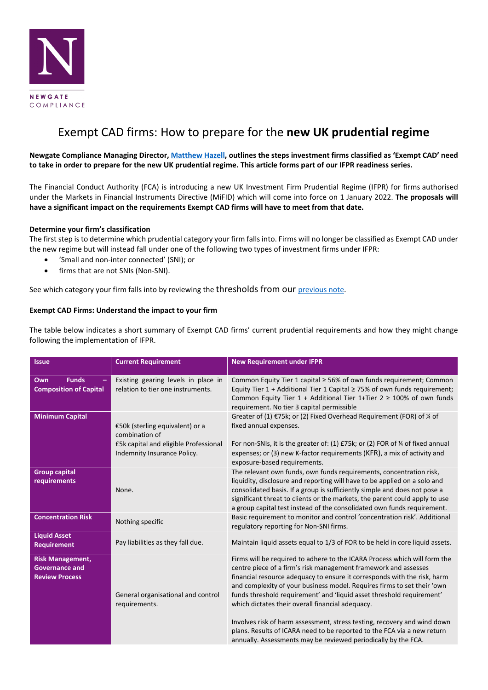

# Exempt CAD firms: How to prepare for the **new UK prudential regime**

**Newgate Compliance Managing Director[, Matthew Hazell,](http://newgatecompliance.com/matthew-hazell) outlines the steps investment firms classified as 'Exempt CAD' need to take in order to prepare for the new UK prudential regime. This article forms part of our IFPR readiness series.**

The Financial Conduct Authority (FCA) is introducing a new UK Investment Firm Prudential Regime (IFPR) for firms authorised under the Markets in Financial Instruments Directive (MiFID) which will come into force on 1 January 2022. **The proposals will have a significant impact on the requirements Exempt CAD firms will have to meet from that date.**

## **Determine your firm's classification**

The first step is to determine which prudential category your firm falls into. Firms will no longer be classified as Exempt CAD under the new regime but will instead fall under one of the following two types of investment firms under IFPR:

- 'Small and non-inter connected' (SNI); or
- firms that are not SNIs (Non-SNI).

See which category your firm falls into by reviewing the thresholds from our [previous note.](http://newgatecompliance.com/downloader/YjQxNmJiMjg3ZmFmOTVmN2FlM2UyYmFjOTRkMzk3YjDk4nrgZEb6nYgn89IOaSfeYmRwSUZaVFFBVWhlZUlEQThxd2t0Wm1DTGF1TWx1UXc2bkpuQ3VPOThFZHpOdU9IRGdVdWlMVFJxTXZySFNZNA)

#### **Exempt CAD Firms: Understand the impact to your firm**

The table below indicates a short summary of Exempt CAD firms' current prudential requirements and how they might change following the implementation of IFPR.

| <b>Issue</b>                                                              | <b>Current Requirement</b>                                                                                                | <b>New Requirement under IFPR</b>                                                                                                                                                                                                                                                                                                                                                                                                                                                                                                                                                                                                                         |
|---------------------------------------------------------------------------|---------------------------------------------------------------------------------------------------------------------------|-----------------------------------------------------------------------------------------------------------------------------------------------------------------------------------------------------------------------------------------------------------------------------------------------------------------------------------------------------------------------------------------------------------------------------------------------------------------------------------------------------------------------------------------------------------------------------------------------------------------------------------------------------------|
| <b>Funds</b><br>Own<br><b>Composition of Capital</b>                      | Existing gearing levels in place in<br>relation to tier one instruments.                                                  | Common Equity Tier 1 capital $\geq$ 56% of own funds requirement; Common<br>Equity Tier $1 +$ Additional Tier 1 Capital $\geq$ 75% of own funds requirement;<br>Common Equity Tier 1 + Additional Tier 1+Tier 2 $\ge$ 100% of own funds<br>requirement. No tier 3 capital permissible                                                                                                                                                                                                                                                                                                                                                                     |
| <b>Minimum Capital</b>                                                    | €50k (sterling equivalent) or a<br>combination of<br>£5k capital and eligible Professional<br>Indemnity Insurance Policy. | Greater of (1) €75k; or (2) Fixed Overhead Requirement (FOR) of ¼ of<br>fixed annual expenses.<br>For non-SNIs, it is the greater of: (1) £75k; or (2) FOR of ¼ of fixed annual<br>expenses; or (3) new K-factor requirements (KFR), a mix of activity and<br>exposure-based requirements.                                                                                                                                                                                                                                                                                                                                                                |
| <b>Group capital</b><br>requirements                                      | None.                                                                                                                     | The relevant own funds, own funds requirements, concentration risk,<br>liquidity, disclosure and reporting will have to be applied on a solo and<br>consolidated basis. If a group is sufficiently simple and does not pose a<br>significant threat to clients or the markets, the parent could apply to use<br>a group capital test instead of the consolidated own funds requirement.                                                                                                                                                                                                                                                                   |
| <b>Concentration Risk</b>                                                 | Nothing specific                                                                                                          | Basic requirement to monitor and control 'concentration risk'. Additional<br>regulatory reporting for Non-SNI firms.                                                                                                                                                                                                                                                                                                                                                                                                                                                                                                                                      |
| <b>Liquid Asset</b><br><b>Requirement</b>                                 | Pay liabilities as they fall due.                                                                                         | Maintain liquid assets equal to 1/3 of FOR to be held in core liquid assets.                                                                                                                                                                                                                                                                                                                                                                                                                                                                                                                                                                              |
| <b>Risk Management,</b><br><b>Governance and</b><br><b>Review Process</b> | General organisational and control<br>requirements.                                                                       | Firms will be required to adhere to the ICARA Process which will form the<br>centre piece of a firm's risk management framework and assesses<br>financial resource adequacy to ensure it corresponds with the risk, harm<br>and complexity of your business model. Requires firms to set their 'own<br>funds threshold requirement' and 'liquid asset threshold requirement'<br>which dictates their overall financial adequacy.<br>Involves risk of harm assessment, stress testing, recovery and wind down<br>plans. Results of ICARA need to be reported to the FCA via a new return<br>annually. Assessments may be reviewed periodically by the FCA. |